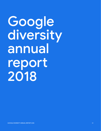# Google diversity annual report 2018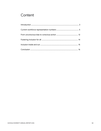# Content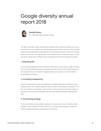# Google diversity annual report 2018



Danielle Brown, VP - Chief Diversity & Inclusion Officer

The data in this report shows that despite significant effort, and some pockets of success, we need to do more to achieve our desired diversity and inclusion outcomes. We care deeply about improving workforce representation and creating an inclusive culture for everyone. While we're moving in the right direction, we are determined to accelerate progress. That's why we're making some changes to how we approach diversity and inclusion at Google.

## 1. Extending D&I

First, the responsibility and work to achieve a more diverse and inclusive Google is shifting from a primarily People Operations and grassroots-led model, to one of shared ownership with Google's most senior leaders. Google's leaders are focused on, and committed to, accelerating our progress.

### 2. Increasing transparency

Second, we are further increasing transparency. Google's publication of workforce representation data in 2014 helped shape the current industry conversation on diversity in tech. We aim to take the conversation—and our work—to the next level as we further refine our approach, so this year we've published new and more detailed workforce representation data.

#### 3. Overarching strategy

Third, we are taking a more systemic approach to improve outcomes in workforce representation, and to create an inclusive culture. Our company-wide strategy is anchored in further operationalizing four longstanding commitments: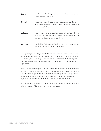| Equity           | Drive fairness within Google's processes, as well as in our distribution<br>of resources and opportunity.                                                                                |
|------------------|------------------------------------------------------------------------------------------------------------------------------------------------------------------------------------------|
| <b>Diversity</b> | Endeavor to attract, develop, progress and retain more underrepre-<br>sented talent at all levels of Google's workforce, reaching or exceeding<br>the available talent pool.             |
| <b>Inclusion</b> | Ensure Google is a workplace where every employee feels welcomed,<br>respected, supported, and valued. We seek to embrace diversity and<br>create the conditions for everyone to thrive. |
| Integrity        | Set a high bar for Google and Googlers to operate in accordance with<br>our values, our Code of Conduct, and the law.                                                                    |

Although hiring and investing in the talent of tomorrow is critical—and we'll continue our work here—it's not enough. We must also renew our focus on development, progression, and retention, and ensure Google's culture is inclusive for everyone. Our leadership will share ownership for improved outcomes, taking actions based on the current state of their organization.

We are determined to change our workforce representation numbers, because they reflect the career prospects of real people: Googlers and future Googlers, students, communities, and families. Diversity is a business imperative because Google builds for everyone—and diverse teams produce better products and services. And it aligns with our mission: to organize the world's information and make it universally accessible and useful.

We don't expect you to simply take our word for it, so this year we're offering more data. We will report back in 2019 to share what works and what doesn't.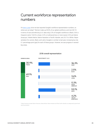# Current workforce representation numbers

It's [been a year](https://www.blog.google/topics/diversity/making-progress-diversity-and-inclusion/) since we last reported Google's workforce representation numbers, so where are we today?<sup>1</sup> Women make up 30.9% of our global workforce, and men 69.1%<sup>2</sup>. In terms of race and ethnicity (U.S. data only) 2.5% of Google's workforce is Black; 3.6% is Hispanic/Latinx<sup>3</sup>; 36.3% is Asian; 4.2% is multiracial (two or more races); 0.3% are Native American<sup>4</sup> , Alaska Native, Native Hawaiian or Pacific Islander; and, 53.1% is White. Representation for women, Black, and Latinx Googlers is similar to last year, increasing by only 0.1 percentage point (ppt) for each of these groups. However, we saw progress in several key areas.



## 2018 overall representation

\* Native American includes Native Americans, Alaska Natives, Native Hawaiian and Other Pacific Islanders as categorized by government reporting standards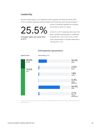## Leadership

We have made progress in our leadership ranks, by gender and ethnicity. Women hold 25.5% of Google's leadership positions today. Over the last four years, the percentage of

25.5%

of Google's leaders are women (Global, 2017)

women in leadership globally has increased from 20.8% to 25.5% (+4.7 ppts).

In the U.S. in 2017, leadership hires were 5.4% Black, and Black representation in leadership increased from 1.5% in 2017 to 2% in 2018. Latinx representation in Google's leadership is 1.8% (up from 1.7%).



2018 leadership representation

\* Native American includes Native Americans, Alaska Natives, Native Hawaiian and Other Pacific Islanders as categorized by government reporting standards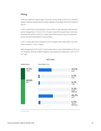## Hiring

There are modest but hopeful signs of success in hiring, where our focus is on reaching greater workforce representation of women globally, and for Black and Latinx Googlers in the U.S.

In 2017, women hires in tech positions rose to 24.5% (+1 ppt), although overall hiring of women dropped from 31.4% to 31.2% (-0.2 ppts). Since 2014, women hires in tech have increased from 20.8% to 24.5% (+3.7 ppts), which shows that our focus on hiring more women into technical positions is having impact.

In 2017, overall Latinx hires increased to 4.2% (+0.4 ppts), while Latinx hires in non-Tech roles increased to 7.2% (+1.5 ppts).

Black Googler hires (3.2% of all U.S. hires) remain above current representation (2.5% of all U.S. Googlers), and hires of Black Googlers in tech positions increased from 1.9% to 2.0% (+0.1 ppt).



#### 2017 hires

\* Native American includes Native Americans, Alaska Natives, Native Hawaiian and Other Pacific Islanders as categorized by government reporting standards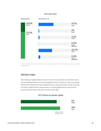#### 2017 tech hires



\* Native American includes Native Americans, Alaska Natives, Native Hawaiian and Other Pacific Islanders as categorized by government reporting standards

## Attrition Index

We're sharing a weighted attrition index for the first time, where the overall attrition rate is 100, and weighted attrition<sup>5</sup> for each demographic group is scaled up or down accordingly. Attrition rates indicate how many employees leave a company annually. Overall, outcomes are mixed. Google's attrition rates are lower for women globally than for men (both for women overall, and even more so for women in tech roles).



## 2017 attrition by gender, global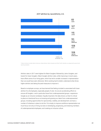

#### 2017 attrition by race/ethicity, U.S.

\* Native American includes Native Americans, Alaska Natives, Native Hawaiian and Other Pacific Islanders as categorized by government reporting standards

Attrition rates in 2017 were highest for Black Googlers followed by Latinx Googlers, and lowest for Asian Googlers. Black Googler attrition rates, while improving in recent years, have offset some of our hiring gains, which has led to smaller increases in representation than we would have seen otherwise. We're working hard to better understand what drives higher attrition and taking focused measures to improve it.

Based on employee surveys, we have learned that feeling included is associated with lower attrition for all employees, especially people of color. So we are accelerating efforts to ensure all Googlers—and in particular those from underrepresented groups—experience Google as an inclusive workplace. Equally important, the data shows us that it's critical to place an intentional focus on knowing and growing our talent from underrepresented groups, including opportunities for sponsorship, visibility, and development; we have a number of initiatives in place to do this. Put simply, to improve workforce representation we must focus not only on hiring, but also on developing, progressing, and retaining members of underrepresented employees, and creating an inclusive culture.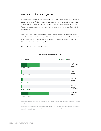## Intersection of race and gender

We know various social identities can overlap to influence the amount of bias or disadvantage someone faces. That's why we're releasing our workforce representation data cut by race and gender for the first time. We hope that increased transparency drives change. We want to understand everyone's experience, including those likely to face the greatest disadvantage.

We are also using this opportunity to represent the experience of multiracial individuals. The data in this section allows people of two or more races to more accurately state their racial background. For example, Black+ includes all Googlers who identify as Black, plus those who identify as Black and any other race.

Please note: This section reflects US data



## 2018 overall representation, U.S.

\* Native American includes Native Americans, Alaska Natives, Native Hawaiian and Other Pacific Islanders as categorized by government reporting standards

Note that [Race] refers to individuals that identify as [Race] and 0 or more other race/ethnicities. For example, Asian+ includes individuals that identify as Asian only and those that identify as Asian and White (or another race/ethnicity). Because of this, categories will sometimes add up to more than 100%.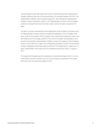Unsurprisingly, this new data shows that women of all ethnicities are less represented in Google's workforce than men of the same ethnicity. For example, between 2014-2017 the representation of Black+ men increased 0.5 ppts (to 1.8%), whereas the representation of Black+ women increased 0.1 ppt (to 1.2%). Representation of Latinx+ men in Google's workforce increased three times more than Latinx+ women (0.6 ppts compared to 0.2 ppts).

Our gains in women's representation have largely been driven by White+ and Asian+ women. Representation of Asian+ women increased considerably to 12.5% of Google's workforce, up from 10% overall in 2014 (+2.5 ppts). This is lower than increases for Asian+ men who make up 25.7% of Google, up from 21.4% in 2014 (+4.3 ppts). Among leaders, we've seen the most growth in representation of White+ women, who make up 16.4% of leaders, up from 14.3% in 2014 (+2.1 ppts). This is followed by increases in Asian+ men and Asian+ women in leadership, which have grown to 20% and 7.3% respectively (+1.6 ppts and +1.2 ppts). Overall, White+ men make up 52.4% of leadership down from 53.8% (-1.4 ppts) in 2017.

This represents the beginning of our exploration of intersectional data in the U.S., and we invite others in the tech industry to join us in a more rigorous examination of this space. We'll return with more data and insights in 2019.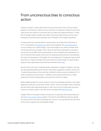# From unconscious bias to conscious action

Everyone is biased–science shows that's how the human brain works<sup>6</sup>. We don't expect people to rid themselves of all bias, but we want them to recognize it. Research shows that when we are more aware of unconscious bias, we make more objective decisions. To date, 84% of Google's people managers have taken Unconscious Bias training, and we've also introduced Unconscious Bias workshops into all "Noogler" (new Googler) orientations.

To help provide tools and build skills to overcome bias, we've taken this work further. In 2017, we expanded our [Decoding Race](https://talksat.withgoogle.com/talk/decoding-race) series, which grappled with [wide-ranging topics](https://www.youtube.com/watch?v=5DyxMLGwTU8) on race, reaching over 15,000 Googlers. This set the stage for our work to increase racial and social equity across Google in 2018. We know that having meaningful conversations around race can be difficult and uncomfortable. So we've designed and implemented a series of interactive learning labs, with the aim of expanding racial awareness and explaining the impact of stereotypes for all Googlers from all backgrounds. Changing the way we think about bias is a huge and complex task, both inside and outside Google. Our grant funding supports many organizations that tackle bias; read about them [here](https://www.google.org/our-work/inclusion/).

We also want to do more to challenge gender stereotypes in Google's workplace. Last year, we made parental benefits gender-neutral. New parents, regardless of gender, receive up to 12 weeks fully paid leave to bond with their child (birth mothers receive an additional 10-12 weeks of pregnancy recovery time)7 . In addition, all new parents benefit from a 2-week gradual return policy (ramping back to work part-time at full-time salary).

While Google's benefits for women are best-in-class, the stereotypes they face in the media, playground, classroom, and at home remain a barrier. That's why Google invests in teaching girls and other under-represented groups to code. And it's why we inspire girls and young women to consider a career in the Tech sector via projects like [Made With Code.](https://www.madewithcode.com/projects/)

Google's efforts in this space include a strong focus on pay equity. We recently shared our annual [2017 pay equity analyses](https://rework.withgoogle.com/blog/googles-commitment-to-fair-and-equitable-pay-2018/) publicly. This looks for pay differences based on gender (for which we have information worldwide) and, in the U.S., by race/ethnicity. We will continue this work to support a fair and equitable Google.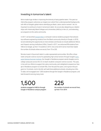## Investing in tomorrow's talent

We've made huge strides in improving the diversity of early pipeline talent. This year our internship program welcomes our largest ever cohort from underrepresented backgrounds, with 49% of Google's global interns identifying as Black, Latinx, and/or women $^8$ . Yet, it's important to continue to invest in tomorrow's talent. So we are also deepening our relationships with Historically Black Colleges and Universities (HBCUs) in the U.S., and extending our programs to the Latinx community.

In 2017, we launched [Howard West](https://www.usatoday.com/story/tech/news/2017/03/23/howard-university-google/99518020/), a computer science residency program that attracts top software engineering students from the Black community directly to Google. In 2018, we are extending this opportunity to more scholars and faculty to include additional HBCUs and Hispanic-serving Institutions (HSIs). Overall, in 2017, we welcomed 96 students from HBCUs to Google, up from 14 students in 2014. And, since 2014 we've more than tripled the number of schools where we recruit, from 75 to 225.

We also invest in future tech talent in under-represented communities. We offer a threeweek computer science course for graduating high school seniors through Google's [Com](https://buildyourfuture.withgoogle.com/programs/computer-science-summer-institute/#!?detail-content-tabby_activeEl=detail-overview-content)[puter Science Summer Institute](https://buildyourfuture.withgoogle.com/programs/computer-science-summer-institute/#!?detail-content-tabby_activeEl=detail-overview-content). Our Google in Residence program sends Googlers out to college campuses across the U.S. to teach students computer science courses. This year, in line with our efforts to support the Latinx community, we're delighted to expand our Google in Residence program to include HSIs. Over the past five years, we've grown this program to 10 schools. And in the fall, we'll add three additional schools, including two HSIs. To date, we've engaged over 1,500 students through the Google in Residence program, and look forward to serving many more.

students engaged at HBCUs through Google in Residence campus program 1,500 225

the number of schools we recruit from, up from 75 in 2014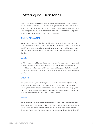# Fostering inclusion for all

We are proud of Google's extraordinarily passionate Employee Resource Groups (ERGs). Google currently sponsors 20+ ERGs with 250+ chapters across 99 offices and 46 countries. These groups are led by more than 500 employee volunteers, with 20,000+ Googlers participating as members, which demonstrates the extent of our workforce engagement around diversity and inclusion. Here are just a few highlights:

## Disability Alliance (DA)

DA promotes awareness of disability, special needs, and neuro-diversity. Last year over 1,100 Googlers participated in Google's annual global Accessibility Week. DA also promotes Google's wider work on disability, such as offering scholarships to disabled students, and ensuring Google serves the needs of an estimated 20% of the world's population who are disabled.

#### **Gayglers**

LGBTQ+ Googlers have 50 global chapters, and a mission to help attract, recruit, and retain top LGBTQ+ talent. Trans members set up and organized the Trans@ conference, an internal 2-day event that welcomed 50+ trans and allied Googlers globally. They covered topics ranging from healthcare benefits to promoting understanding of non-binary gender identities.

### **Greyglers**

Greyglers represents 2,000 older Googlers, and advocates for employees (for example, around retirement benefits) and users (around product accessibility). The Greygler ERG also brings seniors to Google to experience the culture, promotes student coding by sponsoring Hour of Code events, and hosts Talks@Google with speakers such as Vint Cerf, Atul Gawande, and Dan Cohen, the founder of Music and Memory.

#### VetNet

VetNet represents Googlers who served, or are actively serving in the military. VetNet has done work to improve pay policies and leave for Googlers who still actively serve. A dozen Google offices also provide Veterans with career development; serve Military families through the Fisher House Foundation; support Veterans through the Stanford Ignite and 2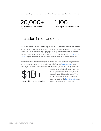to 4 Accelerator programs; and mark our global Veterans' service and sacrifice year-round.

20,000+ 1,100

Googlers actively participate as ERG members

1,100 Googlers participated in Accessibility Week

## Inclusion inside and out

Google launched a Supplier Diversity Program in late 2014, and since then we've spent over \$1B with minority-, women-, Veteran-, disabled- and LGBTQ-owned businesses<sup>9</sup>. These businesses help Google run day-to-day, supplying everything from hardware to food, marketing services to technology, and much more. Many of these businesses also use our Grow with [Google](https://grow.google/?dclid=CJCN3dDKs9oCFYsuaQodZiUF3Q) program, which allows individuals and companies to upskill themselves for free.

We also encourage our own diverse populations of Googlers to contribute insights to help us create better products for everyone. For example, Google's [Crowdsource app](https://play.google.com/store/apps/details?id=com.google.android.apps.village.boond) team encourages Googlers to check our algorithms for accuracy in a variety of languages from

\$1B+

Azerbaijani to Zulu. This feedback improves our AI systems in many products (such as Google Maps and Google Translate). When our products are built using a diversity of data, we help bring the **benefits of AI to all**, so spent with diverse suppliers that our products work for everyone.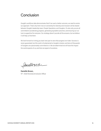# Conclusion

Google's workforce data demonstrates that if we want a better outcome, we need to evolve our approach. That's why from now on ownership for diversity and inclusion will be shared between Google's leadership team, People Operations, and Googlers. It's also why we are all committed to accelerating progress, generating equitable outcomes, and ensuring our culture is supportive for everyone. Our strategy doesn't provide all the answers, but we believe it will help us find them.

We look forward to inviting you back next year to see what progress we make. Success is never guaranteed, but this work is fundamental to Google's mission, and tens of thousands of Googlers are passionately committed to it. We are determined we will have the impact the world expects of us, and that we expect of ourselves.

Samuellemm

Danielle Brown, VP - Chief Diversity & Inclusion Officer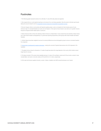## Footnotes

1.The following graphs represent sections of our D&I data. To view all the data, please see appendix.

2. We recognize that our current gender reporting is not inclusive of our non-binary population. We will consult on the best way forward, taking into account research such as [Transgender-inclusive measures of sex/gender for population surveys.](https://www.ncbi.nlm.nih.gov/pmc/articles/PMC5444783/)

3.The term Hispanic refers to communities with Spanish-speaking origins. Latino is a broader term that includes anyone of Latin American origin. For example Brazilians are Latino, but not Hispanic. In this report we have chosen to use Latinx as it is gender inclusive, though we recognize another helpful option is Latino/a/x.

4. Native American refers to those who identify as Native American or Alaska Native. It also includes those who identify as Native Hawaiian or other Pacific Islander as designated by U.S. government reporting requirements, which groups other Pacific Islander with Native Hawaiian.

5. Attrition figures have been weighted to account for seniority differences across demographic groups to ensure a consistent baseline for comparison.

6. [Human brain is predisposed to negative stereotypes](https://www.theguardian.com/science/2016/nov/01/human-brain-is-predisposed-to-negative-stereotypes-new-study-suggests) - study by the Journal of Cognitive Neuroscience, Nov 2016 (reported in The Guardian).

7. The global minimum leave for all parents is 12 weeks, though leave above this range depends on the country. Birth mothers receive longer leave for recovery.

8. This figure includes 37.9% women interns globally (among U.S. interns 3.5% are Black+ women and 2.9% are Latinx+ women). It also includes Black+ and Latinx+ men (who make up 5.5% and 8.6% of U.S. interns, respectively).

9. \$1B+ spent with diverse suppliers (minority-, women-, Veteran-, disabled- and LGBTQ-owned businesses, over 3 years)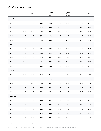## Workforce composition

|             | Asian | <b>Black</b> | Latinx  | <b>Native</b><br>Ameri-<br>can* | White | Two or<br>More<br>Races | Female | Male  |
|-------------|-------|--------------|---------|---------------------------------|-------|-------------------------|--------|-------|
| Overall     |       |              |         |                                 |       |                         |        |       |
| 2014        | 30.0% | 1.9%         | 2.9%    | $0.3\%$                         | 61.3% | 3.6%                    | 30.6%  | 69.4% |
| 2015        | 31.1% | 2.0%         | 3.2%    | 0.3%                            | 59.7% | 3.7%                    | 30.6%  | 69.4% |
| 2016        | 32.4% | 2.3%         | 3.5%    | 0.3%                            | 58.0% | 3.5%                    | 30.6%  | 69.4% |
| 2017        | 34.7% | 2.4%         | 3.5%    | 0.3%                            | 55.5% | 3.6%                    | 30.8%  | 69.2% |
| 2018        | 36.3% | 2.5%         | 3.6%    | 0.3%                            | 53.1% | 4.2%                    | 30.9%  | 69.1% |
| <b>Tech</b> |       |              |         |                                 |       |                         |        |       |
| 2014        | 33.8% | 1.1%         | 2.2%    | 0.2%                            | 59.6% | $3.0\%$                 | 16.6%  | 83.4% |
| 2015        | 35.1% | 1.2%         | 2.5%    | 0.2%                            | 57.8% | 3.1%                    | 18.0%  | 82.0% |
| 2016        | 36.7% | 1.4%         | 2.7%    | 0.2%                            | 56.0% | 3.0%                    | 19.1%  | 80.9% |
| 2017        | 39.2% | 1.4%         | 2.8%    | 0.2%                            | 53.2% | 3.1%                    | 20.2%  | 79.8% |
| 2018        | 41.1% | 1.5%         | 2.8%    | 0.2%                            | 50.7% | 3.6%                    | 21.4%  | 78.6% |
| Non-Tech    |       |              |         |                                 |       |                         |        |       |
| 2014        | 22.5% | 3.4%         | 4.2%    | 0.6%                            | 64.5% | 4.9%                    | 48.1%  | 51.9% |
| 2015        | 22.5% | 3.8%         | 4.7%    | 0.5%                            | 63.7% | 4.9%                    | 48.1%  | 51.9% |
| 2016        | 22.3% | 4.4%         | 5.4%    | 0.5%                            | 62.6% | 4.7%                    | 48.1%  | 51.9% |
| 2017        | 23.2% | 4.8%         | $5.5\%$ | $0.5\%$                         | 61.3% | 4.8%                    | 48.4%  | 51.6% |
| 2018        | 22.9% | $5.0\%$      | 5.8%    | 0.4%                            | 60.0% | 5.8%                    | 47.8%  | 52.2% |
| Leadership  |       |              |         |                                 |       |                         |        |       |
| 2014        | 23.4% | 1.5%         | 1.6%    | $0.3\%$                         | 71.6% | 1.6%                    | 20.8%  | 79.2% |
| 2015        | 24.2% | 1.7%         | 1.4%    | 0.4%                            | 70.5% | 1.9%                    | 22.9%  | 77.1% |
| 2016        | 24.8% | 1.6%         | 1.6%    | $0.3\%$                         | 70.0% | 1.7%                    | 24.2%  | 75.8% |
| 2017        | 26.4% | 1.5%         | 1.7%    | 0.3%                            | 68.0% | 2.0%                    | 24.5%  | 75.5% |
| 2018        | 26.3% | 2.0%         | 1.8%    | $0.4\%$                         | 66.9% | 2.7%                    | 25.5%  | 74.5% |

GOOGLE DIVERSITY ANNUAL REPORT 2018 18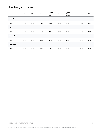## Hires throughout the year

|            | Asian | <b>Black</b> | Latinx | <b>Native</b><br>Ameri-<br>$can*$ | White | Two or<br>More<br>Races | Female | Male  |
|------------|-------|--------------|--------|-----------------------------------|-------|-------------------------|--------|-------|
| Overall    |       |              |        |                                   |       |                         |        |       |
| 2017       | 41.0% | 3.2%         | 4.2%   | 0.3%                              | 45.2% | 6.0%                    | 31.2%  | 68.8% |
| Tech       |       |              |        |                                   |       |                         |        |       |
| 2017       | 47.1% | 2.0%         | 3.2%   | 0.3%                              | 42.2% | 5.3%                    | 24.5%  | 75.5% |
| Non-tech   |       |              |        |                                   |       |                         |        |       |
| 2017       | 23.4% | 6.9%         | 7.2%   | 0.2%                              | 53.9% | 8.3%                    | 43.9%  | 56.1% |
| Leadership |       |              |        |                                   |       |                         |        |       |
| 2017       | 25.0% | 5.4%         | 2.7%   | 1.4%                              | 58.8% | 6.8%                    | 29.4%  | 70.6% |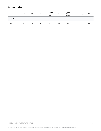## Attrition index

|         | Asian | <b>Black</b> | Latinx | <b>Native</b><br>Ameri-<br>$can*$ | White | Two or<br>More<br>Races | Female | Male |
|---------|-------|--------------|--------|-----------------------------------|-------|-------------------------|--------|------|
| Overall |       |              |        |                                   |       |                         |        |      |
| 2017    | 83    | 127          | 115    | 90                                | 108   | 108                     | 94     | 103  |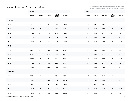## Intersectional workforce composition  $\blacksquare$

and Other Pacific Islanders as categorized by government reporting standards

|                | <b>FEMALE</b> |         |         |                                  |         | <b>MALE</b> |        |         |                                  |        |  |  |
|----------------|---------------|---------|---------|----------------------------------|---------|-------------|--------|---------|----------------------------------|--------|--|--|
|                | Asian+        | Black+  | Latinx+ | <b>Native</b><br>Ameri-<br>can+* | White+  | Asian+      | Black+ | Latinx+ | <b>Native</b><br>Ameri-<br>can+* | White+ |  |  |
| <b>Overall</b> |               |         |         |                                  |         |             |        |         |                                  |        |  |  |
| 2014           | 10.0%         | 1.1%    | 1.5%    | $0.5\%$                          | 17.6%   | 21.4%       | 1.3%   | $3.0\%$ | $0.6\%$                          | 47.0%  |  |  |
| 2015           | 10.5%         | $1.0\%$ | 1.6%    | 0.4%                             | 17.1%   | 22.1%       | 1.5%   | $3.3\%$ | $0.5\%$                          | 45.9%  |  |  |
| 2016           | 11.0%         | 1.1%    | 1.7%    | 0.4%                             | 16.5%   | 22.9%       | 1.7%   | 3.5%    | $0.5\%$                          | 44.6%  |  |  |
| 2017           | 11.8%         | 1.2%    | 1.7%    | 0.3%                             | 15.9%   | 24.4%       | 1.7%   | 3.6%    | 0.4%                             | 42.8%  |  |  |
| 2018           | 12.5%         | 1.2%    | 1.7%    | 0.3%                             | 15.5%   | 25.7%       | 1.8%   | 3.6%    | $0.5\%$                          | 41.1%  |  |  |
| <b>Tech</b>    |               |         |         |                                  |         |             |        |         |                                  |        |  |  |
| 2014           | 8.3%          | $0.4\%$ | $0.5\%$ | 0.2%                             | $8.6\%$ | 26.8%       | 1.1%   | $3.0\%$ | $0.6\%$                          | 53.8%  |  |  |
| 2015           | 9.1%          | $0.4\%$ | 0.7%    | 0.2%                             | $9.0\%$ | 27.3%       | 1.3%   | 3.3%    | $0.5\%$                          | 51.7%  |  |  |
| 2016           | 10.1%         | 0.4%    | 0.7%    | 0.2%                             | 9.2%    | 28.0%       | 1.3%   | 3.3%    | 0.4%                             | 49.5%  |  |  |
| 2017           | 11.2%         | 0.5%    | 0.8%    | 0.2%                             | 9.3%    | 29.5%       | 1.3%   | 3.4%    | 0.4%                             | 46.7%  |  |  |
| 2018           | 12.1%         | $0.5\%$ | $0.9\%$ | 0.2%                             | $9.6\%$ | 30.7%       | 1.4%   | 3.4%    | $0.5\%$                          | 44.0%  |  |  |
| Non-Tech       |               |         |         |                                  |         |             |        |         |                                  |        |  |  |
| 2014           | 13.3%         | 2.4%    | 3.3%    | 1.0%                             | 35.1%   | 11.0%       | 1.7%   | $3.0\%$ | $0.6\%$                          | 33.8%  |  |  |
| 2015           | 13.4%         | $2.5\%$ | 3.6%    | $0.9\%$                          | 34.3%   | 10.9%       | 2.1%   | 3.4%    | $0.6\%$                          | 33.6%  |  |  |
| 2016           | 13.2%         | 2.7%    | $3.9\%$ | $0.8\%$                          | 33.4%   | 10.9%       | 2.5%   | $3.9\%$ | $0.5\%$                          | 33.1%  |  |  |
| 2017           | 13.6%         | 2.9%    | 3.8%    | $0.7\%$                          | 32.7%   | 11.5%       | 2.5%   | 4.1%    | $0.5\%$                          | 32.6%  |  |  |
| 2018           | 13.4%         | 3.1%    | 4.0%    | 0.7%                             | 31.8%   | 11.7%       | 2.8%   | 4.4%    | $0.5\%$                          | 32.9%  |  |  |